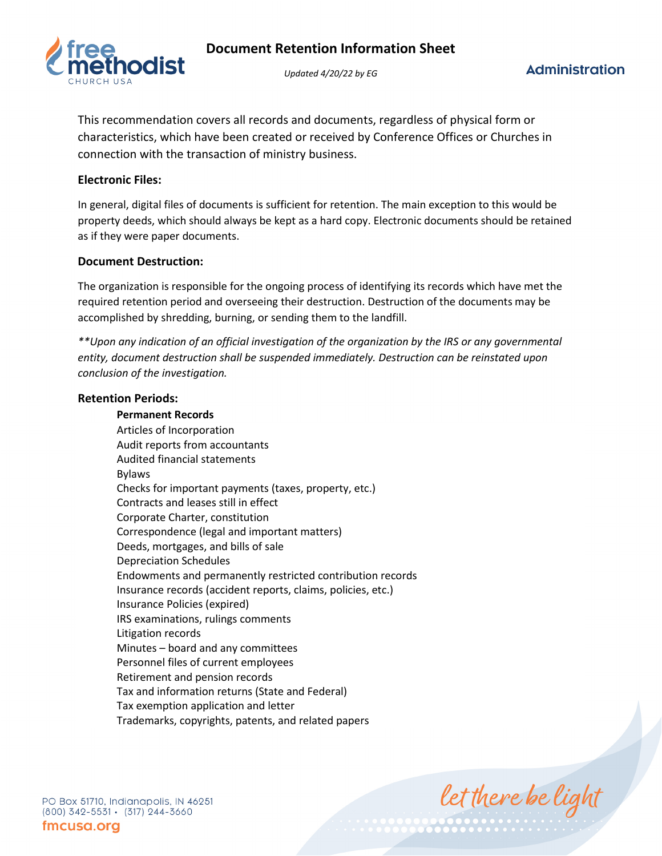

*Updated 4/20/22 by EG*

This recommendation covers all records and documents, regardless of physical form or characteristics, which have been created or received by Conference Offices or Churches in connection with the transaction of ministry business.

## **Electronic Files:**

In general, digital files of documents is sufficient for retention. The main exception to this would be property deeds, which should always be kept as a hard copy. Electronic documents should be retained as if they were paper documents.

## **Document Destruction:**

The organization is responsible for the ongoing process of identifying its records which have met the required retention period and overseeing their destruction. Destruction of the documents may be accomplished by shredding, burning, or sending them to the landfill.

*\*\*Upon any indication of an official investigation of the organization by the IRS or any governmental entity, document destruction shall be suspended immediately. Destruction can be reinstated upon conclusion of the investigation.*

### **Retention Periods:**

### **Permanent Records**

Articles of Incorporation Audit reports from accountants Audited financial statements Bylaws Checks for important payments (taxes, property, etc.) Contracts and leases still in effect Corporate Charter, constitution Correspondence (legal and important matters) Deeds, mortgages, and bills of sale Depreciation Schedules Endowments and permanently restricted contribution records Insurance records (accident reports, claims, policies, etc.) Insurance Policies (expired) IRS examinations, rulings comments Litigation records Minutes – board and any committees Personnel files of current employees Retirement and pension records Tax and information returns (State and Federal) Tax exemption application and letter Trademarks, copyrights, patents, and related papers

let there be light

PO Box 51710, Indianapolis, IN 46251  $(800)$  342-5531 ·  $(317)$  244-3660 fmcusa.org